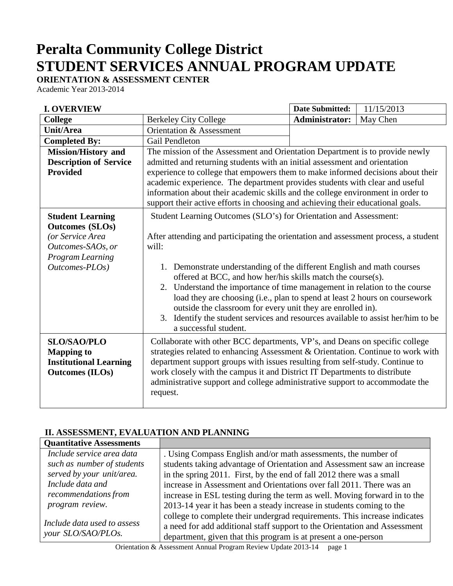# **Peralta Community College District STUDENT SERVICES ANNUAL PROGRAM UPDATE**

# **ORIENTATION & ASSESSMENT CENTER**

Academic Year 2013-2014

| <b>I. OVERVIEW</b>                                                                                                               |                                                                                                                                                                                                                                                                                                                                                                                                                         | <b>Date Submitted:</b> | 11/15/2013 |
|----------------------------------------------------------------------------------------------------------------------------------|-------------------------------------------------------------------------------------------------------------------------------------------------------------------------------------------------------------------------------------------------------------------------------------------------------------------------------------------------------------------------------------------------------------------------|------------------------|------------|
| <b>College</b>                                                                                                                   | <b>Berkeley City College</b>                                                                                                                                                                                                                                                                                                                                                                                            | <b>Administrator:</b>  | May Chen   |
| <b>Unit/Area</b>                                                                                                                 | Orientation & Assessment                                                                                                                                                                                                                                                                                                                                                                                                |                        |            |
| <b>Completed By:</b>                                                                                                             | <b>Gail Pendleton</b>                                                                                                                                                                                                                                                                                                                                                                                                   |                        |            |
| <b>Mission/History and</b>                                                                                                       | The mission of the Assessment and Orientation Department is to provide newly                                                                                                                                                                                                                                                                                                                                            |                        |            |
| <b>Description of Service</b>                                                                                                    | admitted and returning students with an initial assessment and orientation                                                                                                                                                                                                                                                                                                                                              |                        |            |
| <b>Provided</b>                                                                                                                  | experience to college that empowers them to make informed decisions about their<br>academic experience. The department provides students with clear and useful<br>information about their academic skills and the college environment in order to<br>support their active efforts in choosing and achieving their educational goals.                                                                                    |                        |            |
| <b>Student Learning</b><br><b>Outcomes (SLOs)</b><br>(or Service Area<br>Outcomes-SAOs, or<br>Program Learning<br>Outcomes-PLOs) | Student Learning Outcomes (SLO's) for Orientation and Assessment:<br>After attending and participating the orientation and assessment process, a student<br>will:<br>1. Demonstrate understanding of the different English and math courses<br>offered at BCC, and how her/his skills match the course(s).                                                                                                              |                        |            |
|                                                                                                                                  | 2. Understand the importance of time management in relation to the course<br>load they are choosing (i.e., plan to spend at least 2 hours on coursework<br>outside the classroom for every unit they are enrolled in).<br>3. Identify the student services and resources available to assist her/him to be<br>a successful student.                                                                                     |                        |            |
| <b>SLO/SAO/PLO</b><br><b>Mapping to</b><br><b>Institutional Learning</b><br><b>Outcomes</b> (ILOs)                               | Collaborate with other BCC departments, VP's, and Deans on specific college<br>strategies related to enhancing Assessment & Orientation. Continue to work with<br>department support groups with issues resulting from self-study. Continue to<br>work closely with the campus it and District IT Departments to distribute<br>administrative support and college administrative support to accommodate the<br>request. |                        |            |

## **II. ASSESSMENT, EVALUATION AND PLANNING**

| <b>Quantitative Assessments</b> |                                                                           |
|---------------------------------|---------------------------------------------------------------------------|
| Include service area data       | . Using Compass English and/or math assessments, the number of            |
| such as number of students      | students taking advantage of Orientation and Assessment saw an increase   |
| served by your unit/area.       | in the spring 2011. First, by the end of fall 2012 there was a small      |
| Include data and                | increase in Assessment and Orientations over fall 2011. There was an      |
| recommendations from            | increase in ESL testing during the term as well. Moving forward in to the |
| program review.                 | 2013-14 year it has been a steady increase in students coming to the      |
|                                 | college to complete their undergrad requirements. This increase indicates |
| Include data used to assess     | a need for add additional staff support to the Orientation and Assessment |
| your SLO/SAO/PLOs.              | department, given that this program is at present a one-person            |

Orientation & Assessment Annual Program Review Update 2013-14 page 1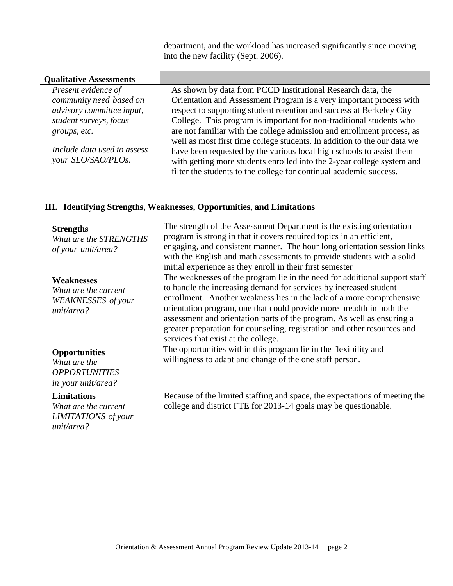|                                                                                                                                                                            | department, and the workload has increased significantly since moving<br>into the new facility (Sept. 2006).                                                                                                                                                                                                                                                                                                                                                                                                                                                                                                                                                    |
|----------------------------------------------------------------------------------------------------------------------------------------------------------------------------|-----------------------------------------------------------------------------------------------------------------------------------------------------------------------------------------------------------------------------------------------------------------------------------------------------------------------------------------------------------------------------------------------------------------------------------------------------------------------------------------------------------------------------------------------------------------------------------------------------------------------------------------------------------------|
| <b>Qualitative Assessments</b>                                                                                                                                             |                                                                                                                                                                                                                                                                                                                                                                                                                                                                                                                                                                                                                                                                 |
| Present evidence of<br>community need based on<br>advisory committee input,<br>student surveys, focus<br>groups, etc.<br>Include data used to assess<br>your SLO/SAO/PLOs. | As shown by data from PCCD Institutional Research data, the<br>Orientation and Assessment Program is a very important process with<br>respect to supporting student retention and success at Berkeley City<br>College. This program is important for non-traditional students who<br>are not familiar with the college admission and enrollment process, as<br>well as most first time college students. In addition to the our data we<br>have been requested by the various local high schools to assist them<br>with getting more students enrolled into the 2-year college system and<br>filter the students to the college for continual academic success. |

# **III. Identifying Strengths, Weaknesses, Opportunities, and Limitations**

| <b>Strengths</b><br>What are the STRENGTHS<br>of your unit/area?                          | The strength of the Assessment Department is the existing orientation<br>program is strong in that it covers required topics in an efficient,<br>engaging, and consistent manner. The hour long orientation session links<br>with the English and math assessments to provide students with a solid<br>initial experience as they enroll in their first semester                                                                                                                              |
|-------------------------------------------------------------------------------------------|-----------------------------------------------------------------------------------------------------------------------------------------------------------------------------------------------------------------------------------------------------------------------------------------------------------------------------------------------------------------------------------------------------------------------------------------------------------------------------------------------|
| <b>Weaknesses</b><br>What are the current<br><b>WEAKNESSES</b> of your<br>unit/area?      | The weaknesses of the program lie in the need for additional support staff<br>to handle the increasing demand for services by increased student<br>enrollment. Another weakness lies in the lack of a more comprehensive<br>orientation program, one that could provide more breadth in both the<br>assessment and orientation parts of the program. As well as ensuring a<br>greater preparation for counseling, registration and other resources and<br>services that exist at the college. |
| <b>Opportunities</b><br>What are the<br><b>OPPORTUNITIES</b><br><i>in your unit/area?</i> | The opportunities within this program lie in the flexibility and<br>willingness to adapt and change of the one staff person.                                                                                                                                                                                                                                                                                                                                                                  |
| <b>Limitations</b><br>What are the current<br><b>LIMITATIONS</b> of your<br>unit/area?    | Because of the limited staffing and space, the expectations of meeting the<br>college and district FTE for 2013-14 goals may be questionable.                                                                                                                                                                                                                                                                                                                                                 |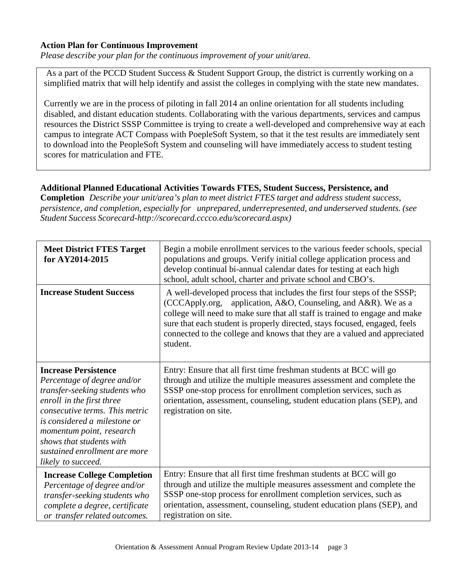#### **Action Plan for Continuous Improvement**

*Please describe your plan for the continuous improvement of your unit/area.*

As a part of the PCCD Student Success & Student Support Group, the district is currently working on a simplified matrix that will help identify and assist the colleges in complying with the state new mandates.

Currently we are in the process of piloting in fall 2014 an online orientation for all students including disabled, and distant education students. Collaborating with the various departments, services and campus resources the District SSSP Committee is trying to create a well-developed and comprehensive way at each campus to integrate ACT Compass with PoepleSoft System, so that it the test results are immediately sent to download into the PeopleSoft System and counseling will have immediately access to student testing scores for matriculation and FTE.

#### **Additional Planned Educational Activities Towards FTES, Student Success, Persistence, and**

**Completion** *Describe your unit/area's plan to meet district FTES target and address student success, persistence, and completion, especially for unprepared, underrepresented, and underserved students. (see Student Success Scorecard[-http://scorecard.cccco.edu/scorecard.aspx\)](http://scorecard.cccco.edu/scorecard.aspx))*

| <b>Meet District FTES Target</b><br>for AY2014-2015                                                                                                                                                                                                                                                       | Begin a mobile enrollment services to the various feeder schools, special<br>populations and groups. Verify initial college application process and<br>develop continual bi-annual calendar dates for testing at each high<br>school, adult school, charter and private school and CBO's.                                                                                                        |
|-----------------------------------------------------------------------------------------------------------------------------------------------------------------------------------------------------------------------------------------------------------------------------------------------------------|--------------------------------------------------------------------------------------------------------------------------------------------------------------------------------------------------------------------------------------------------------------------------------------------------------------------------------------------------------------------------------------------------|
| <b>Increase Student Success</b>                                                                                                                                                                                                                                                                           | A well-developed process that includes the first four steps of the SSSP;<br>(CCCApply.org, application, A&O, Counseling, and A&R). We as a<br>college will need to make sure that all staff is trained to engage and make<br>sure that each student is properly directed, stays focused, engaged, feels<br>connected to the college and knows that they are a valued and appreciated<br>student. |
| <b>Increase Persistence</b><br>Percentage of degree and/or<br>transfer-seeking students who<br>enroll in the first three<br>consecutive terms. This metric<br>is considered a milestone or<br>momentum point, research<br>shows that students with<br>sustained enrollment are more<br>likely to succeed. | Entry: Ensure that all first time freshman students at BCC will go<br>through and utilize the multiple measures assessment and complete the<br>SSSP one-stop process for enrollment completion services, such as<br>orientation, assessment, counseling, student education plans (SEP), and<br>registration on site.                                                                             |
| <b>Increase College Completion</b><br>Percentage of degree and/or<br>transfer-seeking students who<br>complete a degree, certificate<br>or transfer related outcomes.                                                                                                                                     | Entry: Ensure that all first time freshman students at BCC will go<br>through and utilize the multiple measures assessment and complete the<br>SSSP one-stop process for enrollment completion services, such as<br>orientation, assessment, counseling, student education plans (SEP), and<br>registration on site.                                                                             |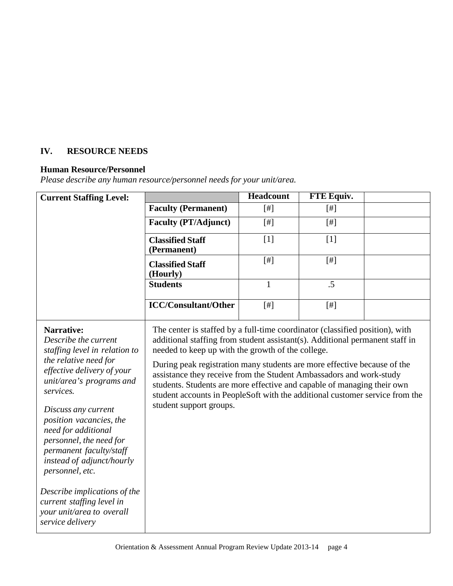# **IV. RESOURCE NEEDS**

# **Human Resource/Personnel**

*Please describe any human resource/personnel needs for your unit/area.*

| <b>Current Staffing Level:</b>                                                                                                                                                                                                                                                                                                                                                                                                                                          |                                                                                                                                                                                                                                                                                                                                                                                                                                                                                                                                                            | <b>Headcount</b> | <b>FTE Equiv.</b> |  |
|-------------------------------------------------------------------------------------------------------------------------------------------------------------------------------------------------------------------------------------------------------------------------------------------------------------------------------------------------------------------------------------------------------------------------------------------------------------------------|------------------------------------------------------------------------------------------------------------------------------------------------------------------------------------------------------------------------------------------------------------------------------------------------------------------------------------------------------------------------------------------------------------------------------------------------------------------------------------------------------------------------------------------------------------|------------------|-------------------|--|
|                                                                                                                                                                                                                                                                                                                                                                                                                                                                         | <b>Faculty (Permanent)</b>                                                                                                                                                                                                                                                                                                                                                                                                                                                                                                                                 | $[#]$            | [#]               |  |
|                                                                                                                                                                                                                                                                                                                                                                                                                                                                         | <b>Faculty (PT/Adjunct)</b>                                                                                                                                                                                                                                                                                                                                                                                                                                                                                                                                | [#]              | $[$ #]            |  |
|                                                                                                                                                                                                                                                                                                                                                                                                                                                                         | <b>Classified Staff</b><br>(Permanent)                                                                                                                                                                                                                                                                                                                                                                                                                                                                                                                     | [1]              | [1]               |  |
|                                                                                                                                                                                                                                                                                                                                                                                                                                                                         | <b>Classified Staff</b><br>(Hourly)                                                                                                                                                                                                                                                                                                                                                                                                                                                                                                                        | [#]              | $[$ #]            |  |
|                                                                                                                                                                                                                                                                                                                                                                                                                                                                         | <b>Students</b>                                                                                                                                                                                                                                                                                                                                                                                                                                                                                                                                            | $\mathbf{1}$     | .5                |  |
|                                                                                                                                                                                                                                                                                                                                                                                                                                                                         | <b>ICC/Consultant/Other</b>                                                                                                                                                                                                                                                                                                                                                                                                                                                                                                                                | [#]              | $[$               |  |
| <b>Narrative:</b><br>Describe the current<br>staffing level in relation to<br>the relative need for<br>effective delivery of your<br>unit/area's programs and<br>services.<br>Discuss any current<br>position vacancies, the<br>need for additional<br>personnel, the need for<br>permanent faculty/staff<br>instead of adjunct/hourly<br>personnel, etc.<br>Describe implications of the<br>current staffing level in<br>your unit/area to overall<br>service delivery | The center is staffed by a full-time coordinator (classified position), with<br>additional staffing from student assistant(s). Additional permanent staff in<br>needed to keep up with the growth of the college.<br>During peak registration many students are more effective because of the<br>assistance they receive from the Student Ambassadors and work-study<br>students. Students are more effective and capable of managing their own<br>student accounts in PeopleSoft with the additional customer service from the<br>student support groups. |                  |                   |  |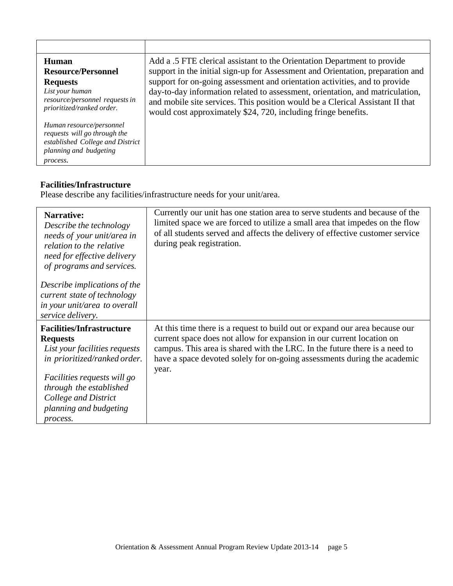| Human<br><b>Resource/Personnel</b><br><b>Requests</b><br>List your human<br>resource/personnel requests in<br>prioritized/ranked order. | Add a .5 FTE clerical assistant to the Orientation Department to provide<br>support in the initial sign-up for Assessment and Orientation, preparation and<br>support for on-going assessment and orientation activities, and to provide<br>day-to-day information related to assessment, orientation, and matriculation,<br>and mobile site services. This position would be a Clerical Assistant II that<br>would cost approximately \$24, 720, including fringe benefits. |
|-----------------------------------------------------------------------------------------------------------------------------------------|------------------------------------------------------------------------------------------------------------------------------------------------------------------------------------------------------------------------------------------------------------------------------------------------------------------------------------------------------------------------------------------------------------------------------------------------------------------------------|
| Human resource/personnel<br>requests will go through the<br>established College and District<br>planning and budgeting<br>process.      |                                                                                                                                                                                                                                                                                                                                                                                                                                                                              |

# **Facilities/Infrastructure**

Please describe any facilities/infrastructure needs for your unit/area.

| <b>Narrative:</b><br>Describe the technology<br>needs of your unit/area in<br>relation to the relative<br>need for effective delivery<br>of programs and services. | Currently our unit has one station area to serve students and because of the<br>limited space we are forced to utilize a small area that impedes on the flow<br>of all students served and affects the delivery of effective customer service<br>during peak registration.                                              |
|--------------------------------------------------------------------------------------------------------------------------------------------------------------------|-------------------------------------------------------------------------------------------------------------------------------------------------------------------------------------------------------------------------------------------------------------------------------------------------------------------------|
| Describe implications of the<br>current state of technology<br>in your unit/area to overall<br>service delivery.                                                   |                                                                                                                                                                                                                                                                                                                         |
| <b>Facilities/Infrastructure</b><br><b>Requests</b><br>List your facilities requests<br>in prioritized/ranked order.                                               | At this time there is a request to build out or expand our area because our<br>current space does not allow for expansion in our current location on<br>campus. This area is shared with the LRC. In the future there is a need to<br>have a space devoted solely for on-going assessments during the academic<br>year. |
| Facilities requests will go<br>through the established<br>College and District<br>planning and budgeting<br>process.                                               |                                                                                                                                                                                                                                                                                                                         |